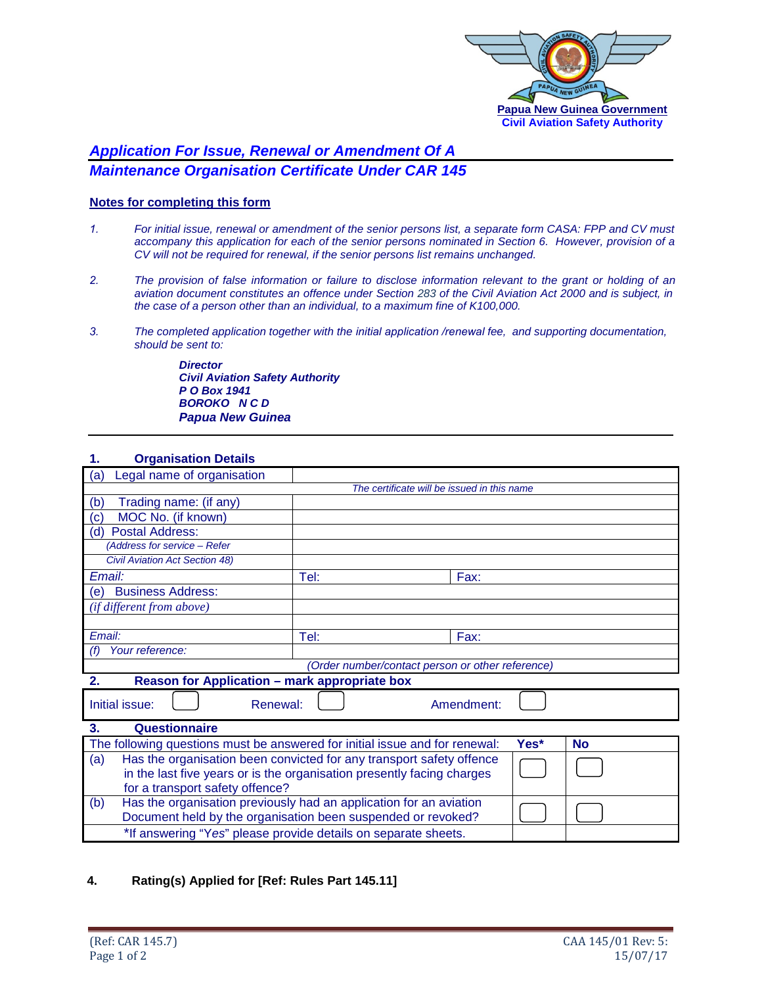

# *Application For Issue, Renewal or Amendment Of A Maintenance Organisation Certificate Under CAR 145*

# **Notes for completing this form**

- *1. For initial issue, renewal or amendment of the senior persons list, a separate form CASA: FPP and CV must accompany this application for each of the senior persons nominated in Section 6. However, provision of a CV will not be required for renewal, if the senior persons list remains unchanged.*
- *2. The provision of false information or failure to disclose information relevant to the grant or holding of an aviation document constitutes an offence under Section 283 of the Civil Aviation Act 2000 and is subject, in the case of a person other than an individual, to a maximum fine of K100,000.*
- *3. The completed application together with the initial application /renewal fee, and supporting documentation, should be sent to:*

*Director Civil Aviation Safety Authority P O Box 1941 BOROKO N C D Papua New Guinea*

### **1. Organisation Details**

| Legal name of organisation<br>(a)                                                                |                                             |      |  |  |  |
|--------------------------------------------------------------------------------------------------|---------------------------------------------|------|--|--|--|
|                                                                                                  | The certificate will be issued in this name |      |  |  |  |
| Trading name: (if any)<br>(b)                                                                    |                                             |      |  |  |  |
| MOC No. (if known)<br>(c)                                                                        |                                             |      |  |  |  |
| <b>Postal Address:</b><br>(d)                                                                    |                                             |      |  |  |  |
| (Address for service - Refer                                                                     |                                             |      |  |  |  |
| <b>Civil Aviation Act Section 48)</b>                                                            |                                             |      |  |  |  |
| Email:                                                                                           | Tel:                                        | Fax: |  |  |  |
| <b>Business Address:</b><br>(e)                                                                  |                                             |      |  |  |  |
| (if different from above)                                                                        |                                             |      |  |  |  |
|                                                                                                  |                                             |      |  |  |  |
| Email:                                                                                           | Tel:                                        | Fax: |  |  |  |
| (f)<br>Your reference:                                                                           |                                             |      |  |  |  |
| (Order number/contact person or other reference)                                                 |                                             |      |  |  |  |
| Reason for Application - mark appropriate box<br>2.                                              |                                             |      |  |  |  |
| Initial issue:<br>Renewal:<br>Amendment:                                                         |                                             |      |  |  |  |
| Questionnaire<br>3.                                                                              |                                             |      |  |  |  |
| The following questions must be answered for initial issue and for renewal:<br>Yes*<br><b>No</b> |                                             |      |  |  |  |
| Has the organisation been convicted for any transport safety offence<br>(a)                      |                                             |      |  |  |  |
| in the last five years or is the organisation presently facing charges                           |                                             |      |  |  |  |
| for a transport safety offence?                                                                  |                                             |      |  |  |  |
| Has the organisation previously had an application for an aviation<br>(b)                        |                                             |      |  |  |  |
| Document held by the organisation been suspended or revoked?                                     |                                             |      |  |  |  |
| *If answering "Yes" please provide details on separate sheets.                                   |                                             |      |  |  |  |
|                                                                                                  |                                             |      |  |  |  |

## **4. Rating(s) Applied for [Ref: Rules Part 145.11]**